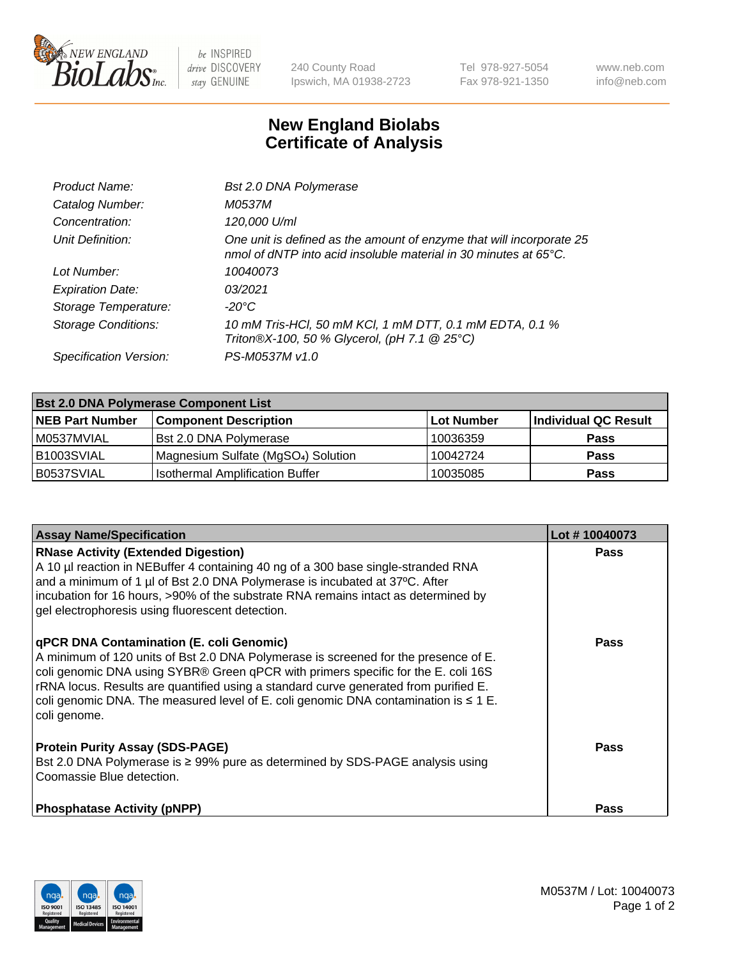

 $be$  INSPIRED drive DISCOVERY stay GENUINE

240 County Road Ipswich, MA 01938-2723 Tel 978-927-5054 Fax 978-921-1350 www.neb.com info@neb.com

## **New England Biolabs Certificate of Analysis**

| <b>Bst 2.0 DNA Polymerase</b>                                                                                                                      |
|----------------------------------------------------------------------------------------------------------------------------------------------------|
| M0537M                                                                                                                                             |
| 120,000 U/ml                                                                                                                                       |
| One unit is defined as the amount of enzyme that will incorporate 25<br>nmol of dNTP into acid insoluble material in 30 minutes at $65^{\circ}$ C. |
| 10040073                                                                                                                                           |
| 0.3/2021                                                                                                                                           |
| $-20^{\circ}$ C                                                                                                                                    |
| 10 mM Tris-HCl, 50 mM KCl, 1 mM DTT, 0.1 mM EDTA, 0.1 %<br>Triton®X-100, 50 % Glycerol, (pH 7.1 @ 25°C)                                            |
| PS-M0537M v1.0                                                                                                                                     |
|                                                                                                                                                    |

| <b>Bst 2.0 DNA Polymerase Component List</b> |                                                 |                   |                      |  |  |
|----------------------------------------------|-------------------------------------------------|-------------------|----------------------|--|--|
| <b>NEB Part Number</b>                       | <b>Component Description</b>                    | <b>Lot Number</b> | Individual QC Result |  |  |
| M0537MVIAL                                   | Bst 2.0 DNA Polymerase                          | 10036359          | <b>Pass</b>          |  |  |
| B1003SVIAL                                   | Magnesium Sulfate (MgSO <sub>4</sub> ) Solution | 10042724          | <b>Pass</b>          |  |  |
| B0537SVIAL                                   | <b>Isothermal Amplification Buffer</b>          | 10035085          | <b>Pass</b>          |  |  |

| <b>Assay Name/Specification</b>                                                                                                                                                                                                                                                                                                                                                                                                 | Lot #10040073 |
|---------------------------------------------------------------------------------------------------------------------------------------------------------------------------------------------------------------------------------------------------------------------------------------------------------------------------------------------------------------------------------------------------------------------------------|---------------|
| <b>RNase Activity (Extended Digestion)</b><br>A 10 µl reaction in NEBuffer 4 containing 40 ng of a 300 base single-stranded RNA<br>and a minimum of 1 µl of Bst 2.0 DNA Polymerase is incubated at 37°C. After<br>incubation for 16 hours, >90% of the substrate RNA remains intact as determined by<br>gel electrophoresis using fluorescent detection.                                                                        | <b>Pass</b>   |
| <b>qPCR DNA Contamination (E. coli Genomic)</b><br>A minimum of 120 units of Bst 2.0 DNA Polymerase is screened for the presence of E.<br>coli genomic DNA using SYBR® Green qPCR with primers specific for the E. coli 16S<br>rRNA locus. Results are quantified using a standard curve generated from purified E.<br>coli genomic DNA. The measured level of E. coli genomic DNA contamination is $\leq 1$ E.<br>coli genome. | <b>Pass</b>   |
| <b>Protein Purity Assay (SDS-PAGE)</b><br>Bst 2.0 DNA Polymerase is ≥ 99% pure as determined by SDS-PAGE analysis using<br>l Coomassie Blue detection.                                                                                                                                                                                                                                                                          | <b>Pass</b>   |
| <b>Phosphatase Activity (pNPP)</b>                                                                                                                                                                                                                                                                                                                                                                                              | <b>Pass</b>   |